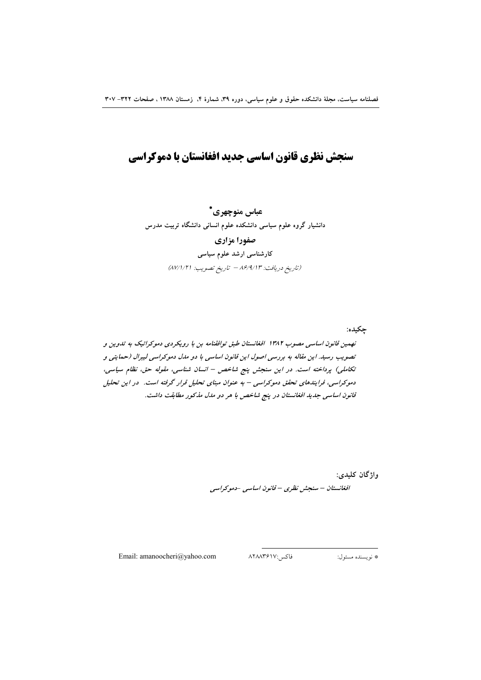# سنجش نظري قانون اساسي جديد افغانستان با دموكراسي

عباس منوچهری\* دانشیار گروه علوم سیاسی دانشکده علوم انسانی دانشگاه تربیت مدرس صفورا مزاري کارشناسی ارشد علوم سیاسی (تاريخ دريافت: ٨۶/٩/١٣ - تاريخ تصويب: ٨٧/١/٢١)

چکیده: نهمین قانون اساسی مصوب ۱۳۸۲ افغانستان طبق توافقنامه بن با رویکردی دموکراتیک به تدوین و تصویب رسید. این مقاله به بررسی اصول این قانون اساسی با دو مدل دموکراسی لیبرال (حمایتی و تكاملي) پرداخته است. در اين سنجش پنج شاخص – انسان شناسي، مقوله حق، نظام سياسي، دموکراسی، فرایندهای تحقق دموکراسی – به عنوان مبنای تحلیل قرار گرفته است. در این تحلیل قانون اساسی جدید افغانستان در پنج شاخص با هر دو مدل مذکور مطابقت داشت.

> واژگان کلیدی: افغانستان – سنجش نظری – قانون اساسی -دموکراسی

Email: amanoocheri@yahoo.com

فاكس:۸۲۸۸۳۶۱۷

\* نويسنده مسئول: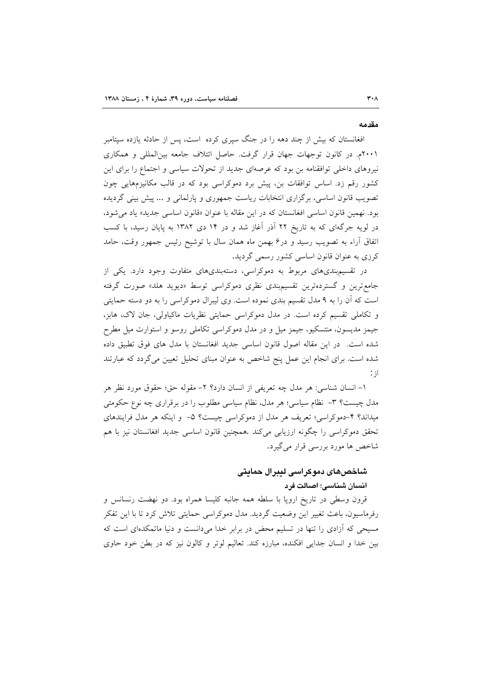#### مقدمه

افغانستان که بیش از چند دهه را در جنگ سیری کرده است، پس از حادثه یازده سیتامبر ۲۰۰۱م. در کانون توجهات جهان قرار گرفت. حاصل ائتلاف جامعه بینالمللی و همکاری نیروهای داخلی توافقنامه بن بود که عرصهای جدید از تحولات سیاسی و اجتماع را برای این کشور رقم زد. اساس توافقات بن، پیش برد دموکراسی بود که در قالب مکانیزمهایی چون تصویب قانون اساسی، برگزاری انتخابات ریاست جمهوری و پارلمانی و ... پیش بینی گردیده بود. نهمين قانون اساسي افغانستان كه در اين مقاله با عنوان «قانون اساسي جديد» ياد مي شود، در لویه جرگهای که به تاریخ ۲۲ آذر آغاز شد و در ۱۴ دی ۱۳۸۲ به پایان رسید، با کسب اتفاق أراء به تصويب رسيد و درع بهمن ماه همان سال با توشيح رئيس جمهور وقت، حامد کرزی به عنوان قانون اساسی کشور رسمی گردید.

در تقسیم بندی های مربوط به دموکراسی، دستهبندی های متفاوت وجود دارد. یکی از جامع ترین و گستردهترین تقسیم بندی نظری دموکراسی توسط «دیوید هلد» صورت گرفته است که آن را به ۹ مدل تقسیم بندی نموده است. وی لیبرال دموکراسی را به دو دسته حمایتی و تکاملی تقسیم کرده است. در مدل دموکراسی حمایتی نظریات ماکیاولی، جان لاک، هابز، جیمز مدیسون، منتسکیو، جیمز میل و در مدل دموکراسی تکاملی روسو و استوارت میل مطرح شده است. در این مقاله اصول قانون اساسی جدید افغانستان با مدل های فوق تطبیق داده شده است. برای انجام این عمل پنج شاخص به عنوان مبنای تحلیل تعیین میگردد که عبارتند  $\therefore$   $\exists$ 

١– انسان شناسي: هر مدل چه تعريفي از انسان دارد؟ ٢– مقوله حق؛ حقوق مورد نظر هر مدل چیست؟ ۳- نظام سیاسی؛ هر مدل، نظام سیاسی مطلوب را در برقراری چه نوع حکومتی میداند؟ ۴-دموکراسی؛ تعریف هر مدل از دموکراسی چیست؟ ۵- و اینکه هر مدل فرایندهای تحقق دموكراسي را چگونه ارزيابي ميكند .همچنين قانون اساسي جديد افغانستان نيز با هم شاخص ها مورد بررسی قرار می گیرد.

## شاخصهای دموکراسی لیبرال حمایتی انسان شناسی؛ اصالت فرد

قرون وسطی در تاریخ اروپا با سلطه همه جانبه کلیسا همراه بود. دو نهضت رنسانس و رفرماسیون، باعث تغییر این وضعیت گردید. مدل دموکراسی حمایتی تلاش کرد تا با این تفکر مسیحی که آزادی را تنها در تسلیم محض در برابر خدا میدانست و دنیا ماتمکدمای است که بین خدا و انسان جدایی افکنده، مبارزه کند. تعالیم لوتر و کالون نیز که در بطن خود حاوی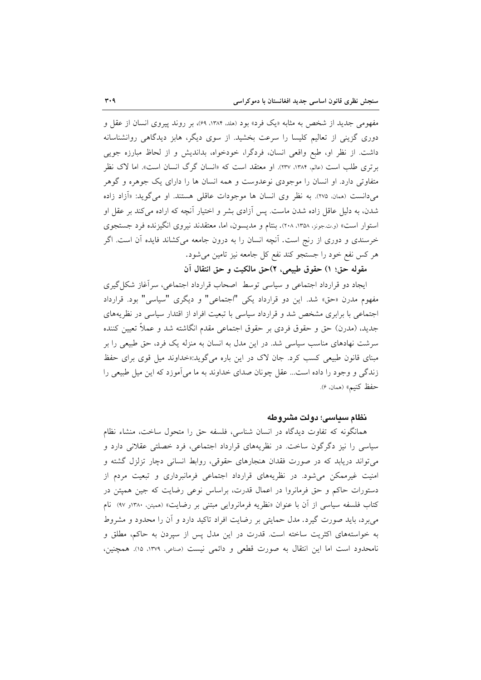مفهومی جدید از شخص به مثابه «یک فرد» بود (هلد. ۱۳۸۴، ۶۹)، بر روند پیروی انسان از عقل و دوری گزینی از تعالیم کلیسا را سرعت بخشید. از سوی دیگر، هابز دیدگاهی روانشناسانه داشت. از نظر او، طبع واقعی انسان، فردگرا، خودخواه، بداندیش و از لحاظ مبارزه جویی برتری طلب است (عالم، ۱۳۸۴، ۲۳۷). او معتقد است که «انسان گرگ انسان است». اما لاک نظر متفاوتی دارد. او انسان را موجودی نوعدوست و همه انسان ها را دارای یک جوهره و گوهر میدانست (همان، ۲۷۵). به نظر وی انسان ها موجودات عاقلی هستند. او میگوید: «آزاد زاده شدن، به دلیل عاقل زاده شدن ماست. پس آزادی بشر و اختیار آنچه که اراده میکند بر عقل او استوار است» (و.ت.جونز، ۱۳۵۸، ۲۰۸). بنتام و مدیسون، اما، معتقدند نیروی انگیزنده فرد جستجوی خرسندی و دوری از رنج است. آنچه انسان را به درون جامعه میکشاند فایده آن است. اگر هر كس نفع خود را جستجو كند نفع كل جامعه نيز تامين مى شود.

مقوله حق؛ ١) حقوق طبيعي، ٢)حق مالكيت وحق انتقال آن

ایجاد دو قرارداد اجتماعی و سیاسی توسط اصحاب قرارداد اجتماعی، سرآغاز شکل گیری مفهوم مدرن «حق» شد. این دو قرارداد یکی "اجتماعی" و دیگری "سیاسی" بود. قرارداد اجتماعی با برابری مشخص شد و قرارداد سیاسی با تبعیت افراد از اقتدار سیاسی در نظریههای جديد، (مدرن) حق و حقوق فردي بر حقوق اجتماعي مقدم انگاشته شد و عملاً تعيين كننده سرشت نهادهای مناسب سیاسی شد. در این مدل به انسان به منزله یک فرد، حق طبیعی را بر مبنای قانون طبیعی کسب کرد. جان لاک در این باره میگوید:«خداوند میل قوی برای حفظ زندگی و وجود را داده است... عقل چونان صدای خداوند به ما میآموزد که این میل طبیعی را حفظ كنيم» (همان، ۶).

#### نظام سياسئ؛ دولت مشروطه

همانگونه که تفاوت دیدگاه در انسان شناسی، فلسفه حق را متحول ساخت، منشاء نظام سیاسی را نیز دگرگون ساخت. در نظریههای قرارداد اجتماعی، فرد خصلتی عقلانی دارد و می تواند دریابد که در صورت فقدان هنجارهای حقوقی، روابط انسانی دچار تزلزل گشته و امنیت غیرممکن میشود. در نظریههای قرارداد اجتماعی فرمانبرداری و تبعیت مردم از دستورات حاکم و حق فرمانروا در اعمال قدرت، براساس نوعی رضایت که جین همیتن در کتاب فلسفه سیاسی از آن با عنوان «نظریه فرمانروایی مبتنی بر رضایت» (همپتن. ۱۳۸۰و ۹۷) نام می برد، باید صورت گیرد. مدل حمایتی بر رضایت افراد تاکید دارد و آن را محدود و مشروط به خواستههای اکثریت ساخته است. قدرت در این مدل پس از سپردن به حاکم، مطلق و نامحدود است اما اين انتقال به صورت قطعي و دائمي نيست (صناعي، ١٣٧٩، ١٥). همچنين،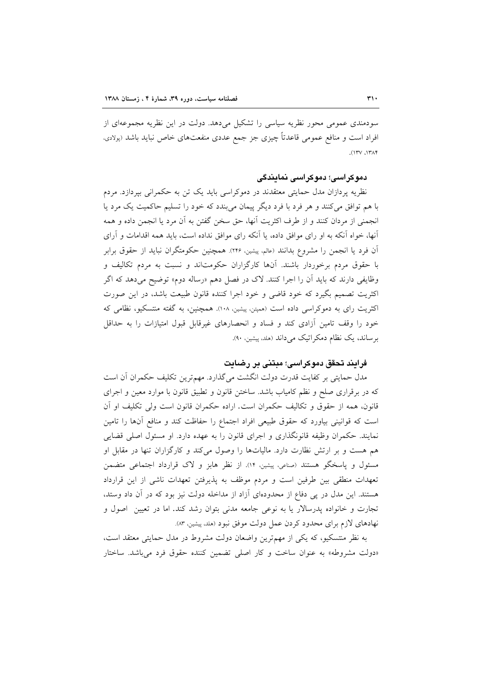سودمندی عمومی محور نظریه سیاسی را تشکیل میدهد. دولت در این نظریه مجموعهای از افراد است و منافع عمومی قاعدتاً چیزی جز جمع عددی منفعتهای خاص نباید باشد (پولادی،  $(17V, 17A)$ 

## دموکراسی؛ دموکراسی نمایندگی

نظریه پردازان مدل حمایتی معتقدند در دموکراسی باید یک تن به حکمرانی بپردازد. مردم با هم توافق میکنند و هر فرد با فرد دیگر پیمان میبندد که خود را تسلیم حاکمیت یک مرد یا انجمني از مردان كنند و از طرف اكثريت أنها، حق سخن گفتن به أن مرد يا انجمن داده و همه آنها، خواه آنکه به او رای موافق داده، یا آنکه رای موافق نداده است، باید همه اقدامات و آرای ٱن فرد يا انجمن را مشروع بدانند (عالم، پيشين، ٢٢۶). همچنين حكومتگران نبايد از حقوق برابر با حقوق مردم برخوردار باشند. آنها کارگزاران حکومتاند و نسبت به مردم تکالیف و وظایفی دارند که باید اَن را اجرا کنند. لاک در فصل دهم «رساله دوم» توضیح میدهد که اگر اکثریت تصمیم بگیرد که خود قاضی و خود اجرا کننده قانون طبیعت باشد، در این صورت اکثریت رای به دموکراسی داده است (همپتن، پیشین، ۱۰۸). همچنین، به گفته منتسکیو، نظامی که خود را وقف تامین أزادی کند و فساد و انحصارهای غیرقابل قبول امتیازات را به حداقل برساند، یک نظام دمکراتیک میداند (هلد، پیشین، ۹۰).

### فرایند تحقق دموکراسی؛ مبتنی بر رضایت

مدل حمایتی بر کفایت قدرت دولت انگشت میگذارد. مهمترین تکلیف حکمران آن است که در برقراری صلح و نظم کامیاب باشد. ساختن قانون و تطبیق قانون با موارد معین و اجرای قانون، همه از حقوق و تكاليف حكمران است. اراده حكمران قانون است ولي تكليف او آن است که قوانینی بیاورد که حقوق طبیعی افراد اجتماع را حفاظت کند و منافع آنها را تامین نمایند. حکمران وظیفه قانونگذاری و اجرای قانون را به عهده دارد. او مسئول اصلی قضایی هم هست و بر ارتش نظارت دارد. مالیاتها را وصول می کند و کارگزاران تنها در مقابل او مسئول و پاسخگو هستند (صناعی، پیشین، ۱۴). از نظر هابز و لاک قرارداد اجتماعی متضمن تعهدات منطقی بین طرفین است و مردم موظف به پذیرفتن تعهدات ناشی از این قرارداد هستند. این مدل در پی دفاع از محدودهای آزاد از مداخله دولت نیز بود که در آن داد وستد، تجارت و خانواده پدرسالار یا به نوعی جامعه مدنی بتوان رشد کند. اما در تعیین اصول و نهادهای لازم برای محدود کردن عمل دولت موفق نبود (هلد، پیشین، ۸۳).

به نظر منتسکیو، که یکی از مهمترین واضعان دولت مشروط در مدل حمایتی معتقد است، «دولت مشروطه» به عنوان ساخت و كار اصلى تضمين كننده حقوق فرد مى باشد. ساختار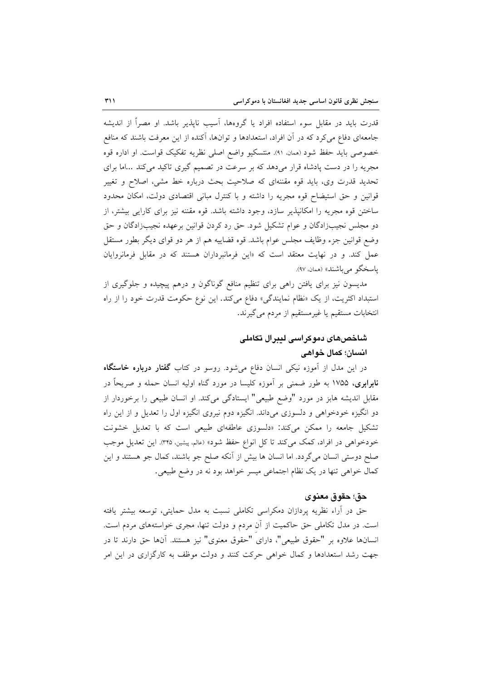قدرت باید در مقابل سوء استفاده افراد یا گروهها، آسیب ناپذیر باشد. او مصراً از اندیشه جامعهای دفاع می کرد که در آن افراد، استعدادها و توانها، آکنده از این معرفت باشند که منافع خصوصی باید حفظ شود (همان. ٩١). منتسکیو واضع اصلی نظریه تفکیک قواست. او اداره قوه مجریه را در دست پادشاه قرار میدهد که بر سرعت در تصمیم گیری تاکید میکند ...اما برای تحدید قدرت وی، باید قوه مقننهای که صلاحیت بحث درباره خط مشی، اصلاح و تغییر قوانین و حق استیضاح قوه مجریه را داشته و با کنترل مبانی اقتصادی دولت، امکان محدود ساختن قوه مجريه را امكانيذير سازد، وجود داشته باشد. قوه مقننه نيز براى كارايي بيشتر، از دو مجلس نجیبزادگان و عوام تشکیل شود. حق رد کردن قوانین برعهده نجیبزادگان و حق وضع قوانین جزء وظایف مجلس عوام باشد. قوه قضاییه هم از هر دو قوای دیگر بطور مستقل عمل کند. و در نهایت معتقد است که «این فرمانبرداران هستند که در مقابل فرمانروایان ياسخگو مي باشند» (همان، ۹۷).

مدیسون نیز برای یافتن راهی برای تنظیم منافع گوناگون و درهم پیچیده و جلوگیری از استبداد اکثریت، از یک «نظام نمایندگی» دفاع میکند. این نوع حکومت قدرت خود را از راه انتخابات مستقيم يا غيرمستقيم از مردم مي گيرند.

# شاخصهای دموکراسی لیبرال تکاملی انسان؛ کمال خواهی

در این مدل از آموزه نیکی انسان دفاع میشود. روسو در کتاب **گفتار درباره خاستگاه نابرابری،** ۱۷۵۵ به طور ضمنی بر اَموزه کلیسا در مورد گناه اولیه انسان حمله و صریحاً در مقابل اندیشه هابز در مورد "وضع طبیعی" ایستادگی میکند. او انسان طبیعی را برخوردار از دو انگیزه خودخواهی و دلسوزی میداند. انگیزه دوم نیروی انگیزه اول را تعدیل و از این راه تشکیل جامعه را ممکن میکند: «دلسوزی عاطفهای طبیعی است که با تعدیل خشونت خودخواهی در افراد، کمک میکند تا کل انواع حفظ شود» (عالم، پیشین، ۳۴۵). این تعدیل موجب صلح دوستی انسان میگردد. اما انسان ها بیش از آنکه صلح جو باشند، کمال جو هستند و این كمال خواهي تنها در يك نظام اجتماعي ميسر خواهد بود نه در وضع طبيعي.

### حق؛ حقوق معنوى

حق در آراء نظریه پردازان دمکراسی تکاملی نسبت به مدل حمایتی، توسعه بیشتر یافته است. در مدل تکاملی حق حاکمیت از آن مردم و دولت تنها، مجری خواستههای مردم است. انسانها علاوه بر "حقوق طبیعی"، دارای "حقوق معنوی" نیز هستند. آنها حق دارند تا در جهت رشد استعدادها و کمال خواهی حرکت کنند و دولت موظف به کارگزاری در این امر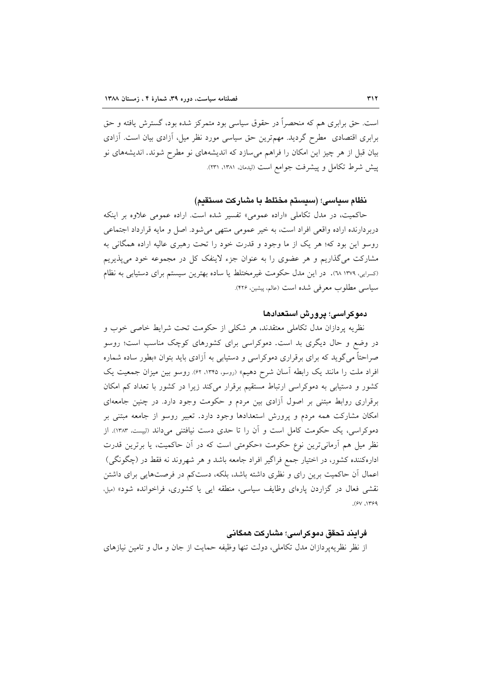است. حق برابری هم که منحصراً در حقوق سیاسی بود متمرکز شده بود، گسترش یافته و حق برابری اقتصادی ًمطرح گردید. مهمترین حق سیاسی مورد نظر میل، آزادی بیان است. آزادی بیان قبل از هر چیز این امکان را فراهم میسازد که اندیشههای نو مطرح شوند. اندیشههای نو ييش شرط تكامل و پيشرفت جوامع است (ليدمان ١٣٨١، ٢٣١).

نظام سياسي؛ (سيستم مختلط با مشاركت مستقيم)

حاکمیت، در مدل تکاملی «اراده عمومی» تفسیر شده است. اراده عمومی علاوه بر اینکه دربردارنده اراده واقعی افراد است، به خیر عمومی منتهی میشود. اصل و مایه قرارداد اجتماعی روسو این بود که؛ هر یک از ما وجود و قدرت خود را تحت رهبری عالیه اراده همگانی به مشارکت میگذاریم و هر عضوی را به عنوان جزء لاینفک کل در مجموعه خود میپذیریم (کسرایی، ۱۳۷۹ \. در این مدل حکومت غیرمختلط یا ساده بهترین سیستم برای دستیابی به نظام سياسي مطلوب معرفي شده است (عالم، ييشين، ٢٢۶).

## دموکراسی؛ پرورش استعدادها

نظریه پردازان مدل تکاملی معتقدند، هر شکلی از حکومت تحت شرایط خاصی خوب و در وضع و حال دیگری بد است. دموکراسی برای کشورهای کوچک مناسب است؛ روسو صراحتاً می گوید که برای برقراری دموکراسی و دستیابی به آزادی باید بتوان «بطور ساده شماره افراد ملت را مانند یک رابطه آسان شرح دهیم» (روسو، ۱۳۴۵، ۶۲). روسو بین میزان جمعیت یک کشور و دستیابی به دموکراسی ارتباط مستقیم برقرار میکند زیرا در کشور با تعداد کم امکان برقراری روابط مبتنی بر اصول آزادی بین مردم و حکومت وجود دارد. در چنین جامعهای امکان مشارکت همه مردم و پرورش استعدادها وجود دارد. تعبیر روسو از جامعه مبتنی بر دموکراسی، یک حکومت کامل است و آن را تا حدی دست نیافتنی میداند (لیست ۱۳۸۳). از نظر میل هم آرمانیترین نوع حکومت «حکومتی است که در آن حاکمیت، یا برترین قدرت ادارهکننده کشور، در اختیار جمع فراگیر افراد جامعه باشد و هر شهروند نه فقط در (چگونگی) اعمال آن حاکمیت برین رای و نظری داشته باشد، بلکه، دستکم در فرصتهایی برای داشتن نقشی فعال در گزاردن پارهای وظایف سیاسی، منطقه ایی یا کشوری، فراخوانده شود» (میل،  $.941.999$ 

### فرايند تحقق دموكراسى؛ مشاركت همگانى

از نظر نظریه پردازان مدل تکاملی، دولت تنها وظیفه حمایت از جان و مال و تامین نیازهای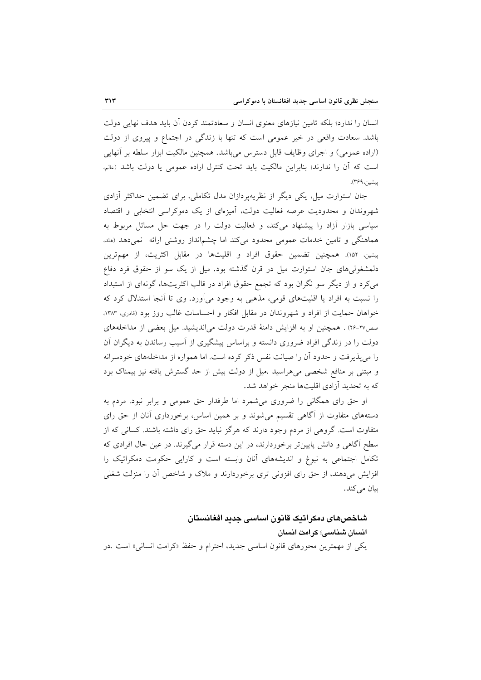انسان را ندارد؛ بلکه تامین نیازهای معنوی انسان و سعادتمند کردن آن باید هدف نهایی دولت باشد. سعادت واقعی در خیر عمومی است که تنها با زندگی در اجتماع و پیروی از دولت (اراده عمومی) و اجرای وظایف قابل دسترس میباشد. همچنین مالکیت ابزار سلطه بر آنهایی است که آن را ندارند؛ بنابراین مالکیت باید تحت کنترل اراده عمومی یا دولت باشد (عالم، ييشين،۴۶۹).

جان استوارت میل، یکی دیگر از نظریهپردازان مدل تکاملی، برای تضمین حداکثر آزادی شهروندان و محدودیت عرصه فعالیت دولت، أمیزمای از یک دموکراسی انتخابی و اقتصاد سیاسی بازار آزاد را پیشنهاد می کند، و فعالیت دولت را در جهت حل مسائل مربوط به هماهنگی و تامین خدمات عمومی محدود میکند اما چشمانداز روشنی ارائه نمیدهد (هلد. پیشین، ۱۵۲). همچنین تضمین حقوق افراد و اقلیتها در مقابل اکثریت، از مهمترین دلمشغولی های جان استوارت میل در قرن گذشته بود. میل از یک سو از حقوق فرد دفاع می کرد و از دیگر سو نگران بود که تجمع حقوق افراد در قالب اکثریتها، گونهای از استبداد را نسبت به افراد یا اقلیتهای قومی، مذهبی به وجود میآورد. وی تا أنجا استدلال کرد که خواهان حمایت از افراد و شهروندان در مقابل افکار و احساسات غالب روز بود (قادری، ۱۳۸۳، صص٢٧-٢٤) . همچنين او به افزايش دامنهٔ قدرت دولت مي انديشيد. ميل بعضي از مداخلههاي دولت را در زندگی افراد ضروری دانسته و براساس پیشگیری از آسیب رساندن به دیگران آن را میپذیرفت و حدود آن را صیانت نفس ذکر کرده است. اما همواره از مداخلههای خودسرانه و مبتنی بر منافع شخصی میهراسید .میل از دولت بیش از حد گسترش یافته نیز بیمناک بود که به تحدید آزادی اقلیتها منجر خواهد شد.

او حق رای همگانی را ضروری میشمرد اما طرفدار حق عمومی و برابر نبود. مردم به دستههای متفاوت از آگاهی تقسیم می شوند و بر همین اساس، برخورداری آنان از حق رای متفاوت است. گروهی از مردم وجود دارند که هرگز نباید حق رای داشته باشند. کسانی که از سطح اگاهی و دانش پایین تر برخوردارند، در این دسته قرار میگیرند. در عین حال افرادی که تکامل اجتماعی به نبوغ و اندیشههای آنان وابسته است و کارایی حکومت دمکراتیک را افزایش می دهند، از حق رای افزونی تری برخوردارند و ملاک و شاخص آن را منزلت شغلی بيان مي كند.

شاخصهای دمکراتیک قانون اساسی جدید افغانستان انسان شناسی؛ کرامت انسان یکی از مهمترین محورهای قانون اساسی جدید، احترام و حفظ «کرامت انسانی» است .در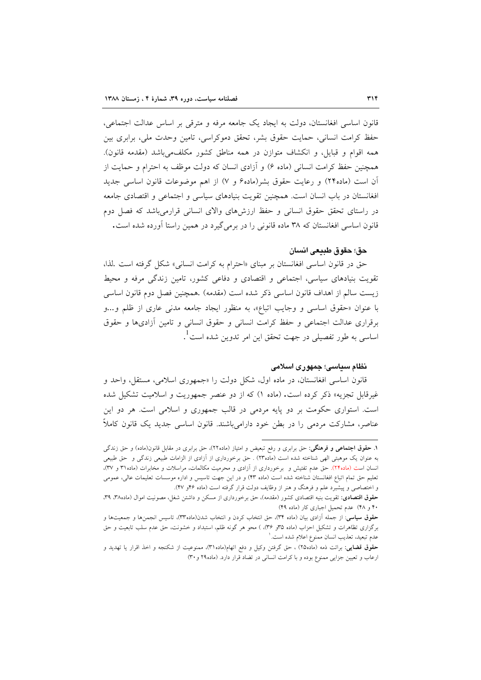قانون اساسی افغانستان، دولت به ایجاد یک جامعه مرفه و مترقی بر اساس عدالت اجتماعی، حفظ کرامت انسانی، حمایت حقوق بشر، تحقق دموکراسی، تامین وحدت ملی، برابری بین همه اقوام و قبايل، و انكشاف متوازن در همه مناطق كشور مكلف، باشد (مقدمه قانون). همچنین حفظ کرامت انسانی (ماده ۶) و آزادی انسان که دولت موظف به احترام و حمایت از آن است (ماده۲۴) و رعایت حقوق بشر(ماده۶ و ۷) از اهم موضوعات قانون اساسی جدید افغانستان در باب انسان است. همچنین تقویت بنیادهای سیاسی و اجتماعی و اقتصادی جامعه در راستای تحقق حقوق انسانی و حفظ ارزشهای والای انسانی قرارمی باشد که فصل دوم قانون اساسی افغانستان که ۳۸ ماده قانونی را در برمی گیرد در همین راستا آورده شده است.

#### حق؛ حقوق طبيعي انسان

حق در قانون اساسی افغانستان بر مبنای «احترام به کرامت انسانی» شکل گرفته است .لذا، تقویت بنیادهای سیاسی، اجتماعی و اقتصادی و دفاعی کشور، تامین زندگی مرفه و محیط زيست سالم از اهداف قانون اساسي ذكر شده است (مقدمه) .همچنين فصل دوم قانون اساسي با عنوان «حقوق اساسی و وجایب اتباع»، به منظور ایجاد جامعه مدنی عاری از ظلم و...و برقراری عدالت اجتماعی و حفظ کرامت انسانی و حقوق انسانی و تامین آزادیها و حقوق اساسی به طور تفصیلی در جهت تحقق این امر تدوین شده است <sup>1</sup>.

#### نظام سياسي؛ جمهوري اسلامي

قانون اساسی افغانستان، در ماده اول، شکل دولت را «جمهوری اسلامی، مستقل، واحد و غیرقابل تجزیه» ذکر کرده است. (ماده ۱) که از دو عنصر جمهوریت و اسلامیت تشکیل شده است. استواری حکومت بر دو پایه مردمی در قالب جمهوری و اسلامی است. هر دو این عناصر، مشارکت مردمی را در بطن خود دارامیباشند. قانون اساسی جدید یک قانون کاملاً

۱. حقوق اجتماعی و فرهنگی: حق برابری و رفع تبعیض و امتیاز (ماده۲۲)، حق برابری در مقابل قانون(ماده) و حق زندگی به عنوان یک موهبتی الهی شناخته شده است (ماده۲۳) . حق برخورداری از آزادی از الزامات طبیعی زندگی و حق طبیعی انسان است (ماده۲۴). حق عدم تفتیش و برخورداری از أزادی و محرمیت مکالمات، مراسلات و مخابرات (ماده۳۱ و ۳۷)، تعلیم حق تمام اتباع افغانستان شناخته شده است (ماده ۴۳) و در این جهت تاسیس و اداره موسسات تعلیمات عالی، عمومی و اختصاصی و پیشبرد علم و فرهنگ و هنر از وظایف دولت قرار گرفته است (ماده ۴۶و ۴۷).

حقوق اقتصادی: تقویت بنیه اقتصادی کشور (مقدمه)، حق برخورداری از مسکن و داشتن شغل، مصونیت اموال (ماده۳۸، ۳۹، ۴۰ و ۴۸) عدم تحمیل اجباری کار (ماده ۴۹)

حقوق سیاسی: از جمله آزادی بیان (ماده ۳۴)، حق انتخاب کردن و انتخاب شدن(ماده۳۳)، تاسیس انجمنها و جمعیتها و برگزاری تظاهرات و تشکیل احزاب (ماده ۳۵و ۳۶)، ) محو هر گونه ظلم، استبداد و خشونت، حق عدم سلب تابعیت و حق عدم تبعيد، تعذيب انسان ممنوع اعلام شده است. '

<sup>&</sup>lt;mark>حقوق قضایی</mark>: برائت ذمه (ماده۲) ، حق گرفتن وکیل و دفع اتهام(ماده۳۱)، ممنوعیت از شکنجه و اخذ اقرار یا تهدید و ارعاب و تعیین جزایی ممنوع بوده و با کرامت انسانی در تضاد قرار دارد. (ماده۲۹ و ۳۰)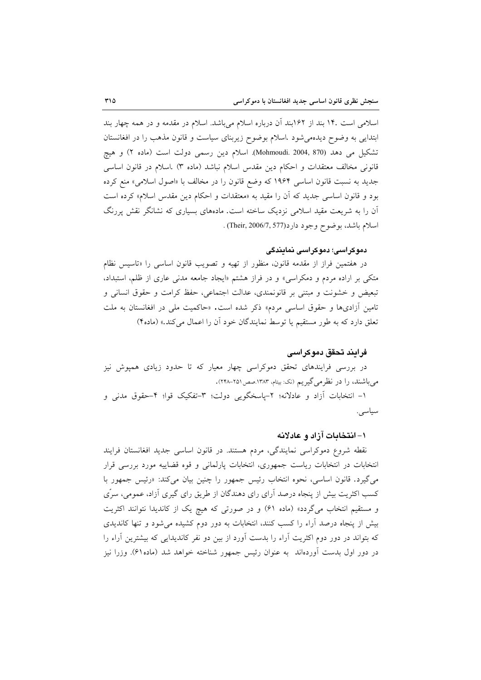اسلامی است ۱۴. بند از ۱۶۲بند آن درباره اسلام میباشد. اسلام در مقدمه و در همه چهار بند ابتدایی به وضوح دیدهمی شود .اسلام بوضوح زیربنای سیاست و قانون مذهب را در افغانستان تشکیل می دهد (870 ,Mohmoudi. 2004, 870). اسلام دین رسمی دولت است (ماده ۲) و هیچ قانونی مخالف معتقدات و احکام دین مقدس اسلام نباشد (ماده ۳) اسلام در قانون اساسی جدید به نسبت قانون اساسی ۱۹۶۴ که وضع قانون را در مخالف با «اصول اسلامی» منع کرده بود و قانون اساسی جدید که آن را مقید به «معتقدات و احکام دین مقدس اسلام» کرده است آن را به شریعت مقید اسلامی نزدیک ساخته است. مادههای بسیاری که نشانگر نقش پررنگ اسلام باشد، بو ضوح وجود دارد(Their, 2006/7, 577) .

#### دموکراسی؛ دموکراسی نمایندگی

در هفتمین فراز از مقدمه قانون، منظور از تهیه و تصویب قانون اساسی را «تاسیس نظام متکی بر اراده مردم و دمکراسی» و در فراز هشتم «ایجاد جامعه مدنی عاری از ظلم، استبداد، تبعيض و خشونت و مبتنى بر قانونمندى، عدالت اجتماعى، حفظ كرامت و حقوق انسانى و تامین آزادیها و حقوق اساسی مردم» ذکر شده است. «حاکمیت ملی در افغانستان به ملت تعلق دارد که به طور مستقیم یا توسط نمایندگان خود آن را اعمال می کند.» (ماده۴)

#### فرائند تحقق دموكراسي

در بررسی فرایندهای تحقق دموکراسی چهار معیار که تا حدود زیادی همپوش نیز می باشند، را در نظرمی گیریم (نک: بیتام، ۱۳۸۳.صص ۲۵۱–۲۴۸).

۱- انتخابات آزاد و عادلانه؛ ۲-پاسخگویی دولت؛ ۳-تفکیک قوا؛ ۴-حقوق مدنی و سياسى.

#### ۱– انتخابات آزاد و عادلانه

نقطه شروع دموکراسی نمایندگی، مردم هستند. در قانون اساسی جدید افغانستان فرایند انتخابات در انتخابات ریاست جمهوری، انتخابات پارلمانی و قوه قضاییه مورد بررسی قرار می گیرد. قانون اساسی، نحوه انتخاب رئیس جمهور را چنین بیان میکند: «رئیس جمهور با کسب اکثریت بیش از پنجاه درصد آرای رای دهندگان از طریق رای گیری آزاد، عمومی، سرّی و مستقیم انتخاب میگردد» (ماده ۶۱) و در صورتی که هیچ یک از کاندیدا نتوانند اکثریت بیش از پنجاه درصد آراء را کسب کنند، انتخابات به دور دوم کشیده می شود و تنها کاندیدی که بتواند در دور دوم اکثریت آراء را بدست آورد از بین دو نفر کاندیدایی که بیشترین آراء را در دور اول بدست آوردهاند ً به عنوان رئيس جمهور شناخته خواهد شد (ماده۶۱). وزرا نيز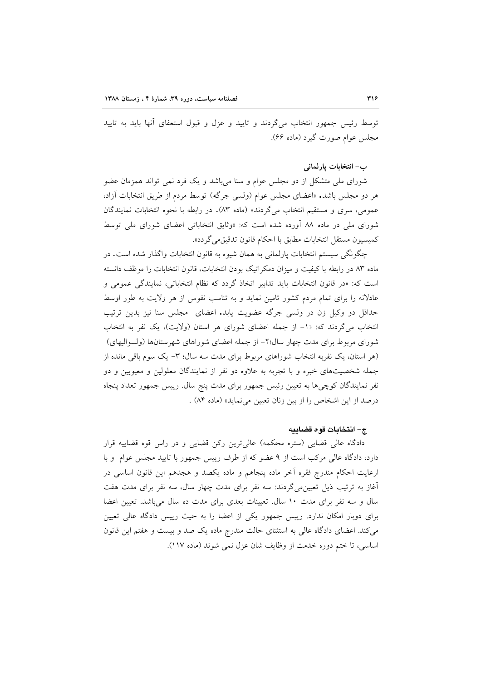توسط رئیس جمهور انتخاب میگردند و تایید و عزل و قبول استعفای آنها باید به تایید مجلس عوام صورت گیرد (ماده ۶۶).

ب- انتخابات يارلماني

شورای ملی متشکل از دو مجلس عوام و سنا میباشد و یک فرد نمی تواند همزمان عضو هر دو مجلس باشد. «اعضای مجلس عوام (ولسی جرگه) توسط مردم از طریق انتخابات آزاد، عمومي، سري و مستقيم انتخاب مي گردند» (ماده ٨٣). در رابطه با نحوه انتخابات نمايندگان شورای ملی در ماده ۸۸ آورده شده است که: «وثایق انتخاباتی اعضای شورای ملی توسط كميسيون مستقل انتخابات مطابق با احكام قانون تدقيق *مي گ*ردد».

چگونگی سیستم انتخابات پارلمانی به همان شیوه به قانون انتخابات واگذار شده است. در ماده ۸۳ در رابطه با کیفیت و میزان دمکراتیک بودن انتخابات، قانون انتخابات را موظف دانسته است كه: «در قانون انتخابات بايد تدابير اتخاذ گردد كه نظام انتخاباتي، نمايندگي عمومي و عادلانه را برای تمام مردم کشور تامین نماید و به تناسب نفوس از هر ولایت به طور اوسط حداقل دو وكيل زن در ولسي جرگه عضويت يابد. اعضاى مجلس سنا نيز بدين ترتيب انتخاب می گردند که: «١- از جمله اعضای شورای هر استان (ولایت)، یک نفر به انتخاب شورای مربوط برای مدت چهار سال۲۰– از جمله اعضای شوراهای شهرستانها (ولسوالیهای) (هر استان، یک نفربه انتخاب شوراهای مربوط برای مدت سه سال؛ ٣- یک سوم باقی مانده از جمله شخصیتهای خبره و با تجربه به علاوه دو نفر از نمایندگان معلولین و معیوبین و دو نفر نمایندگان کوچیها به تعیین رئیس جمهور برای مدت پنج سال. رییس جمهور تعداد پنجاه درصد از این اشخاص را از بین زنان تعیین می نماید» (ماده ۸۴) .

## ج- انتخابات قوه قضائيه

دادگاه عالی قضایی (ستره محکمه) عالیترین رکن قضایی و در راس قوه قضاییه قرار دارد، دادگاه عالی مرکب است از ۹ عضو که از طرف رییس جمهور با تایید مجلس عوام و با ارعایت احکام مندرج فقره أخر ماده پنجاهم و ماده یکصد و هجدهم این قانون اساسی در آغاز به ترتیب ذیل تعیین.میگردند: سه نفر برای مدت چهار سال، سه نفر برای مدت هفت سال و سه نفر برای مدت ١٠ سال. تعیینات بعدی برای مدت ده سال میباشد. تعیین اعضا برای دوبار امکان ندارد. رییس جمهور یکی از اعضا را به حیث رییس دادگاه عالی تعیین می کند. اعضای دادگاه عالی به استثنای حالت مندرج ماده یک صد و بیست و هفتم این قانون اساسی، تا ختم دوره خدمت از وظایف شان عزل نمی شوند (ماده ١١٧).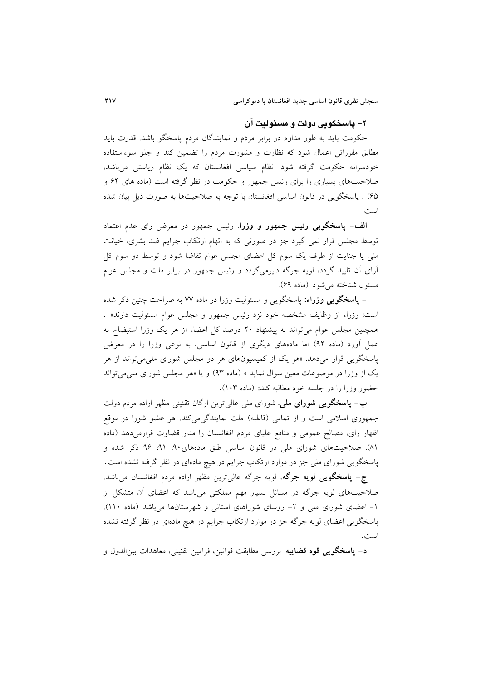## ٢– ياسخگويے دولت و مسئوليت آن

حکومت باید به طور مداوم در برابر مردم و نمایندگان مردم پاسخگو باشد. قدرت باید مطابق مقرراتی اعمال شود که نظارت و مشورت مردم را تضمین کند و جلو سوءاستفاده خودسرانه حکومت گرفته شود. نظام سیاسی افغانستان که یک نظام ریاستی میباشد، صلاحیتهای بسیاری را برای رئیس جمهور و حکومت در نظر گرفته است (ماده های ۶۴ و ۶۵) . پاسخگویی در قانون اساسی افغانستان با توجه به صلاحیتها به صورت ذیل بیان شده است.

الف- پاسخگویی رئیس جمهور و وزرا. رئیس جمهور در معرض رای عدم اعتماد توسط مجلس قرار نمی گیرد جز در صورتی که به اتهام ارتکاب جرایم ضد بشری، خیانت ملی یا جنایت از طرف یک سوم کل اعضای مجلس عوام تقاضا شود و توسط دو سوم کل آرای آن تایید گردد، لویه جرگه دایرمیگردد و رئیس جمهور در برابر ملت و مجلس عوام مسئول شناخته می شود (ماده ۶۹).

– **یاسخگویی وزراء**: پاسخگویی و مسئولیت وزرا در ماده ۷۷ به صراحت چنین ذکر شده است: وزراء از وظایف مشخصه خود نزد رئیس جمهور و مجلس عوام مسئولیت دارند» . همچنین مجلس عوام می تواند به پیشنهاد ۲۰ درصد کل اعضاء از هر یک وزرا استیضاح به عمل آورد (ماده ۹۲) اما مادههای دیگری از قانون اساسی، به نوعی وزرا را در معرض پاسخگویی قرار میدهد. «هر یک از کمیسیونهای هر دو مجلس شورای ملی می تواند از هر یک از وزرا در موضوعات معین سوال نماید » (ماده ۹۳) و یا «هر مجلس شورای ملی می تواند حضور وزرا را در جلسه خود مطالبه كند» (ماده ١٠٣).

ب- پاسخگویی شورای ملی. شورای مل<sub>ی</sub> عال<sub>ی</sub>ترین ارگان تقنینی مظهر اراده مردم دولت جمهوری اسلامی است و از تمامی (قاطبه) ملت نمایندگیمییکند. هر عضو شورا در موقع اظهار رای، مصالح عمومی و منافع علیای مردم افغانستان را مدار قضاوت قرارمیدهد (ماده ٨١). صلاحیتهای شورای ملی در قانون اساسی طبق مادههای ٩٠، ٩١، ٩٤ ذکر شده و پاسخگویی شورای ملی جز در موارد ارتکاب جرایم در هیچ مادهای در نظر گرفته نشده است.

ج- پ**اسخگویی لویه جرگه**. لویه جرگه عالیترین مظهر اراده مردم افغانستان میباشد. صلاحیتهای لویه جرگه در مسائل بسیار مهم مملکتی میباشد که اعضای آن متشکل از ۱- اعضای شورای ملی و ۲- روسای شوراهای استانی و شهرستانها میباشد (ماده ۱۱۰). پاسخگویی اعضای لویه جرگه جز در موارد ارتکاب جرایم در هیچ مادهای در نظر گرفته نشده است.

د– پاسخگویی قوه قضاییه. بررسی مطابقت قوانین، فرامین تقنینی، معاهدات بین|لدول و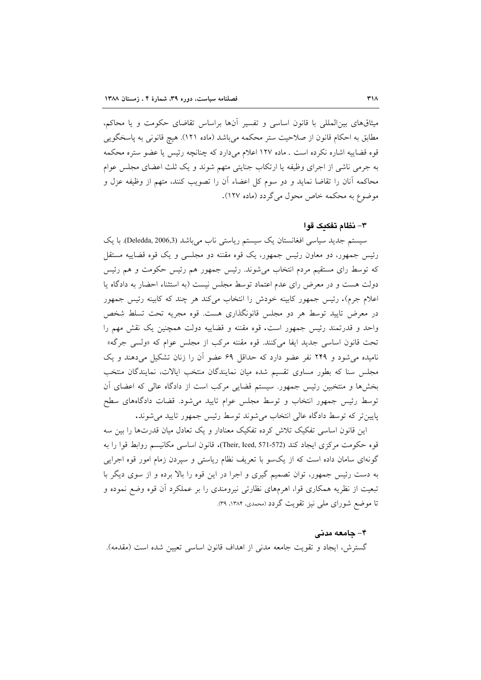میثاقهای بین|لمللی با قانون اساسی و تفسیر آنها براساس تقاضای حکومت و یا محاکم، مطابق به احکام قانون از صلاحیت ستر محکمه می باشد (ماده ۱۲۱). هیچ قانونی به پاسخگویی قوه قضاییه اشاره نکرده است . ماده ۱۲۷ اعلام میدارد که چنانچه رئیس یا عضو ستره محکمه به جرمی ناشی از اجرای وظیفه یا ارتکاب جنایتی متهم شوند و یک ثلث اعضای مجلس عوام محاکمه آنان را تقاضا نماید و دو سوم کل اعضاء آن را تصویب کنند، متهم از وظیفه عزل و موضوع به محکمه خاص محول میگردد (ماده ۱۲۷).

### ٣- نظام تفكيك قوا

سیستم جدید سیاسی افغانستان یک سیستم ریاستی ناب میباشد (Deledda, 2006,3). با یک رئیس جمهور، دو معاون رئیس جمهور، یک قوه مقننه دو مجلسی و یک قوه قضاییه مستقل که توسط رای مستقیم مردم انتخاب می شوند. رئیس جمهور هم رئیس حکومت و هم رئیس دولت هست و در معرض رای عدم اعتماد توسط مجلس نیست (به استثناء احضار به دادگاه یا اعلام جرم). رئيس جمهور كابينه خودش را انتخاب مى كند هر چند كه كابينه رئيس جمهور در معرض تایید توسط هر دو مجلس قانونگذاری هست. قوه مجریه تحت تسلط شخص واحد و قدرتمند رئیس جمهور است. قوه مقننه و قضاییه دولت همچنین یک نقش مهم را تحت قانون اساسی جدید ایفا میکنند. قوه مقننه مرکب از مجلس عوام که «ولسی جرگه» نامیده می شود و ۲۴۹ نفر عضو دارد که حداقل ۶۹ عضو آن را زنان تشکیل میدهند و یک مجلس سنا که بطور مساوی تقسیم شده میان نمایندگان منتخب ایالات، نمایندگان منتخب بخشها و منتخبین رئیس جمهور. سیستم قضایی مرکب است از دادگاه عالی که اعضای آن توسط رئیس جمهور انتخاب و توسط مجلس عوام تایید می شود. قضات دادگاههای سطح پایین تر که توسط دادگاه عالی انتخاب می شوند توسط رئیس جمهور تایید می شوند.

این قانون اساسی تفکیک تلاش کرده تفکیک معنادار و یک تعادل میان قدرتها را بین سه قوه حكومت مركزي ايجاد كند (Their, Iced, 571-572). قانون اساسي مكانيسم روابط قوا را به گونهای سامان داده است که از یکسو با تعریف نظام ریاستی و سپردن زمام امور قوه اجرایی به دست رئیس جمهور، توان تصمیم گیری و اجرا در این قوه را بالا برده و از سوی دیگر با تبعیت از نظریه همکاری قوا، اهرمهای نظارتی نیرومندی را بر عملکرد أن قوه وضع نموده و تا موضع شورای ملی نیز تقویت گردد (محمدی، ۱۳۸۴، ۳۹).

#### ۴- حامعه مدنی

گسترش، ايجاد و تقويت جامعه مدنى از اهداف قانون اساسى تعيين شده است (مقدمه).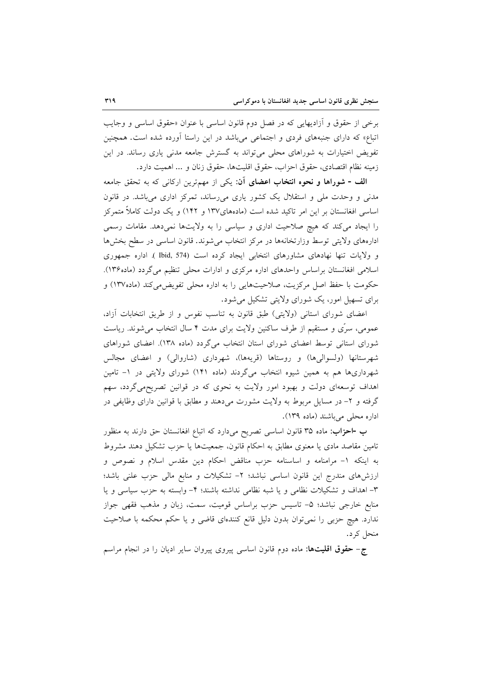برخي از حقوق و آزاديهايي كه در فصل دوم قانون اساسي با عنوان «حقوق اساسي و وجايب اتباع» که دارای جنبههای فردی و اجتماعی میباشد در این راستا آورده شده است. همچنین تفویض اختیارات به شوراهای محلی می تواند به گسترش جامعه مدنی یاری رساند. در این زمينه نظام اقتصادي، حقوق احزاب، حقوق اقليتها، حقوق زنان و ... اهميت دارد.

الف - شوراها و نحوه انتخاب اعضاى آن: يكي از مهمترين اركاني كه به تحقق جامعه مدنی و وحدت ملی و استقلال یک کشور یاری میرساند، تمرکز اداری میباشد. در قانون اساسی افغانستان بر این امر تاکید شده است (مادههای۱۳۷ و ۱۴۲) و یک دولت کاملاً متمرکز را ایجاد میکند که هیچ صلاحیت اداری و سیاسی را به ولایتها نمیدهد. مقامات رسمی ادارههای ولایتی توسط وزارتخانهها در مرکز انتخاب میشوند. قانون اساسی در سطح بخشها و ولايات تنها نهادهاى مشاورهاى انتخابى ايجاد كرده است (574 Ibid, ). اداره جمهورى اسلامی افغانستان براساس واحدهای اداره مرکزی و ادارات محلی تنظیم می گردد (ماده۱۳۶). حکومت با حفظ اصل مرکزیت، صلاحیتهایی را به اداره محلی تفویض می کند (ماده۱۳۷) و برای تسهیل امور، یک شورای ولایتی تشکیل می شود.

اعضای شورای استانی (ولایتی) طبق قانون به تناسب نفوس و از طریق انتخابات آزاد، عمومی، سرّی و مستقیم از طرف ساکنین ولایت برای مدت ۴ سال انتخاب میشوند. ریاست شورای استانی توسط اعضای شورای استان انتخاب میگردد (ماده ۱۳۸). اعضای شوراهای شهرستانها (ولسوالیها) و روستاها (قریهها)، شهرداری (شاروالی) و اعضای مجالس شهرداریها هم به همین شیوه انتخاب میگردند (ماده ۱۴۱) شورای ولایتی در ۱– تامین اهداف توسعهای دولت و بهبود امور ولایت به نحوی که در قوانین تصریحهی گردد، سهم گرفته و ۲– در مسایل مربوط به ولایت مشورت میدهند و مطابق با قوانین دارای وظایفی در اداره محلی میباشند (ماده ۱۳۹).

ب -احزاب: ماده ۳۵ قانون اساسی تصریح میدارد که اتباع افغانستان حق دارند به منظور تامین مقاصد مادی یا معنوی مطابق به احکام قانون، جمعیتها یا حزب تشکیل دهند مشروط به اینکه ۱- مرامنامه و اساسنامه حزب مناقض احکام دین مقدس اسلام و نصوص و ارزشهای مندرج این قانون اساسی نباشد؛ ٢- تشکیلات و منابع مالی حزب علنی باشد؛ ٣- اهداف و تشکیلات نظامی و یا شبه نظامی نداشته باشند؛ ۴- وابسته به حزب سیاسی و یا منابع خارجی نباشد؛ ۵- تاسیس حزب براساس قومیت، سمت، زبان و مذهب فقهی جواز ندارد. هیچ حزبی را نمی توان بدون دلیل قانع کنندهای قاضی و یا حکم محکمه با صلاحیت منحل کر د.

ج- حقوق اقلیتها: ماده دوم قانون اساسی پیروی پیروان سایر ادیان را در انجام مراسم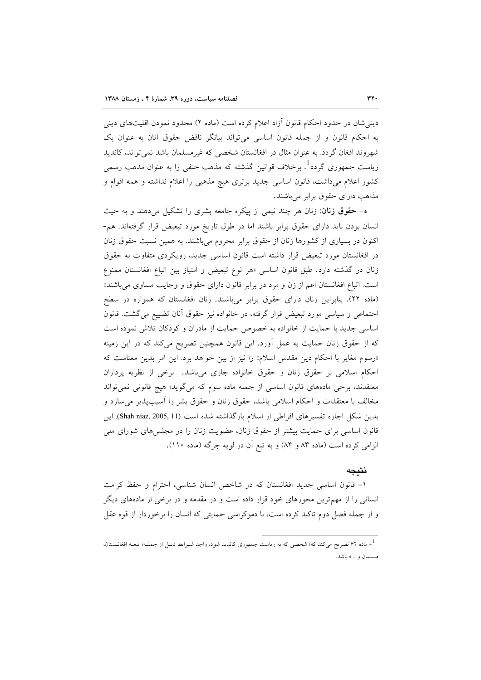دینی شان در حدود احکام قانون آزاد اعلام کرده است (ماده ۲) محدود نمودن اقلیتهای دینی به احکام قانون و از جمله قانون اساسی میتواند بیانگر ناقض حقوق آنان به عنوان یک شهروند افغان گردد. به عنوان مثال در افغانستان شخصی که غیرمسلمان باشد نمی تواند، کاندید ریاست جمهوری گردد<sup>1</sup>. برخلاف قوانین گذشته که مذهب حنفی را به عنوان مذهب رسمی کشور اعلام میداشت، قانون اساسی جدید برتری هیچ مذهبی را اعلام نداشته و همه اقوام و مذاهب دارای حقوق برابر میباشند.

ه- حقوق زنان: زنان هر چند نیمی از پیکره جامعه بشری را تشکیل میدهند و به حیث انسان بودن بايد داراي حقوق برابر باشند اما در طول تاريخ مورد تبعيض قرار گرفتهاند. هم-اکنون در بسیاری از کشورها زنان از حقوق برابر محروم میباشند. به همین نسبت حقوق زنان در افغانستان مورد تبعیض قرار داشته است قانون اساسی جدید، رویکردی متفاوت به حقوق زنان در گذشته دارد. طبق قانون اساسی «هر نوع تبعیض و امتیاز بین اتباع افغانستان ممنوع است. اتباع افغانستان اعم از زن و مرد در برابر قانون دارای حقوق و وجایب مساوی می باشند» (ماده ۲۲). بنابراین زنان دارای حقوق برابر میباشند. زنان افغانستان که همواره در سطح اجتماعی و سیاسی مورد تبعیض قرار گرفته، در خانواده نیز حقوق آنان تضییع می گشت. قانون اساسی جدید با حمایت از خانواده به خصوص حمایت از مادران و کودکان تلاش نموده است که از حقوق زنان حمایت به عمل آورد. این قانون همچنین تصریح میکند که در این زمینه «رسوم مغایر با احکام دین مقدس اسلام» را نیز از بین خواهد برد. این امر بدین معناست که احکام اسلامی بر حقوق زنان و حقوق خانواده جاری میباشد. برخی از نظریه پردازان معتقدند، برخی مادههای قانون اساسی از جمله ماده سوم که میگوید؛ هیچ قانونی نمی تواند مخالف با معتقدات و احکام اسلامی باشد، حقوق زنان و حقوق بشر را آسیبپذیر می سازد و بدین شکل اجازه تفسیرهای افراطی از اسلام بازگذاشته شده است (Shah niaz, 2005, 11). این قانون اساسی برای حمایت بیشتر از حقوق زنان، عضویت زنان را در مجلسهای شورای ملی الزامي كرده است (ماده ٨٣ و ٨۴) و به تبع أن در لويه جرگه (ماده ١١٠).

#### نتيجه

۱- قانون اساسی جدید افغانستان که در شاخص انسان شناسی، احترام و حفظ کرامت انسانی را از مهمترین محورهای خود قرار داده است و در مقدمه و در برخی از مادههای دیگر و از جمله فصل دوم تاکید کرده است، با دموکراسی حمایتی که انسان را برخوردار از قوه عقل

ر ماده ۶۲ تصریح میکند که؛ شخصی که به ریاست جمهوری کاندید شود، واجد شــرایط ذیــل از جملــه؛ تبعــه افغانـــستان  $^{-1}$ مسلمان و ...» باشد.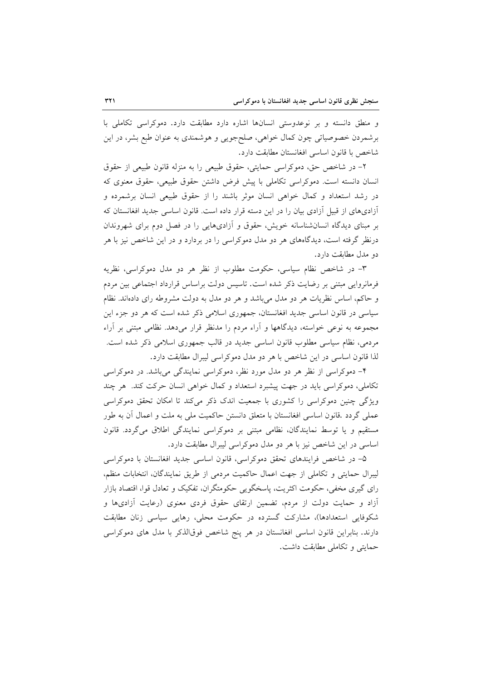و منطق دانسته و بر نوعدوستی انسانها اشاره دارد مطابقت دارد. دموکراسی تکاملی با برشمردن خصوصیاتی چون کمال خواهی، صلحجویی و هوشمندی به عنوان طبع بشر، در این شاخص با قانون اساسی افغانستان مطابقت دارد.

۲- در شاخص حق، دموکراسی حمایتی، حقوق طبیعی را به منزله قانون طبیعی از حقوق انسان دانسته است. دموكراسي تكاملي با پيش فرض داشتن حقوق طبيعي، حقوق معنوى كه در رشد استعداد و کمال خواهی انسان موثر باشند را از حقوق طبیعی انسان برشمرده و آزادیهای از قبیل آزادی بیان را در این دسته قرار داده است. قانون اساسی جدید افغانستان که بر مبنای دیدگاه انسانشناسانه خویش، حقوق و آزادیهایی را در فصل دوم برای شهروندان درنظر گرفته است، دیدگاههای هر دو مدل دموکراسی را در بردارد و در این شاخص نیز با هر دو مدل مطابقت دارد.

٣- در شاخص نظام سياسي، حكومت مطلوب از نظر هر دو مدل دموكراسي، نظريه فرمانروایی مبتنی بر رضایت ذکر شده است. تاسیس دولت براساس قرارداد اجتماعی بین مردم و حاکم، اساس نظریات هر دو مدل می باشد و هر دو مدل به دولت مشروطه رای دادهاند. نظام سیاسی در قانون اساسی جدید افغانستان، جمهوری اسلامی ذکر شده است که هر دو جزء این مجموعه به نوعی خواسته، دیدگاهها و آراء مردم را مدنظر قرار میدهد. نظامی مبتنی بر آراء مردمی، نظام سیاسی مطلوب قانون اساسی جدید در قالب جمهوری اسلامی ذکر شده است. لذا قانون اساسی در این شاخص با هر دو مدل دموکراسی لیبرال مطابقت دارد.

۴- دموکراسی از نظر هر دو مدل مورد نظر، دموکراسی نمایندگی میباشد. در دموکراسی تکاملی، دموکراسی باید در جهت پیشبرد استعداد و کمال خواهی انسان حرکت کند. هر چند ویژگی چنین دموکراسی را کشوری با جمعیت اندک ذکر میکند تا امکان تحقق دموکراسی عملي گردد .قانون اساسي افغانستان با متعلق دانستن حاكميت ملي به ملت و اعمال آن به طور مستقیم و یا توسط نمایندگان، نظامی مبتنی بر دموکراسی نمایندگی اطلاق میگردد. قانون اساسی در این شاخص نیز با هر دو مدل دموکراسی لیبرال مطابقت دارد.

۵– در شاخص فرایندهای تحقق دموکراسی، قانون اساسی جدید افغانستان با دموکراسی ليبرال حمايتي و تكاملي از جهت اعمال حاكميت مردمي از طريق نمايندگان، انتخابات منظم، رای گیری مخفی، حکومت اکثریت، پاسخگویی حکومتگران، تفکیک و تعادل قوا، اقتصاد بازار آزاد و حمایت دولت از مردم، تضمین ارتقای حقوق فردی معنوی (رعایت آزادیها و شکوفایی استعدادها)، مشارکت گسترده در حکومت محلی، رهایی سیاسی زنان مطابقت دارند. بنابراین قانون اساسی افغانستان در هر پنج شاخص فوقالذکر با مدل های دموکراسی حمايتي وتكاملي مطابقت داشت.